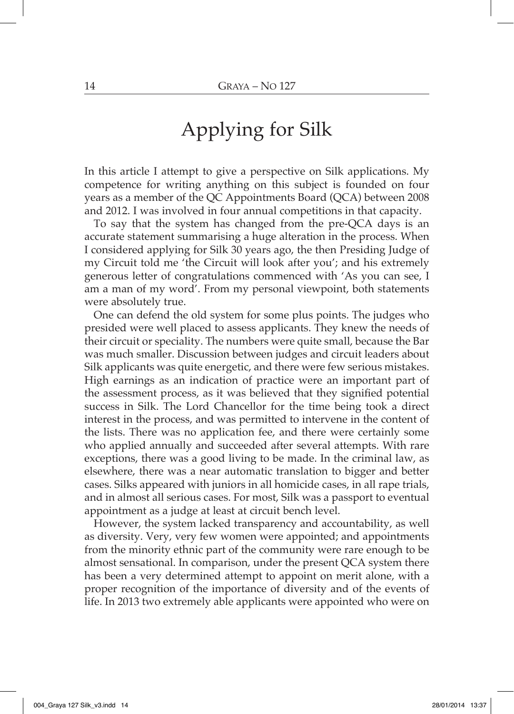## Applying for Silk

In this article I attempt to give a perspective on Silk applications. My competence for writing anything on this subject is founded on four years as a member of the QC Appointments Board (QCA) between 2008 and 2012. I was involved in four annual competitions in that capacity.

To say that the system has changed from the pre-QCA days is an accurate statement summarising a huge alteration in the process. When I considered applying for Silk 30 years ago, the then Presiding Judge of my Circuit told me 'the Circuit will look after you'; and his extremely generous letter of congratulations commenced with 'As you can see, I am a man of my word'. From my personal viewpoint, both statements were absolutely true.

One can defend the old system for some plus points. The judges who presided were well placed to assess applicants. They knew the needs of their circuit or speciality. The numbers were quite small, because the Bar was much smaller. Discussion between judges and circuit leaders about Silk applicants was quite energetic, and there were few serious mistakes. High earnings as an indication of practice were an important part of the assessment process, as it was believed that they signified potential success in Silk. The Lord Chancellor for the time being took a direct interest in the process, and was permitted to intervene in the content of the lists. There was no application fee, and there were certainly some who applied annually and succeeded after several attempts. With rare exceptions, there was a good living to be made. In the criminal law, as elsewhere, there was a near automatic translation to bigger and better cases. Silks appeared with juniors in all homicide cases, in all rape trials, and in almost all serious cases. For most, Silk was a passport to eventual appointment as a judge at least at circuit bench level.

However, the system lacked transparency and accountability, as well as diversity. Very, very few women were appointed; and appointments from the minority ethnic part of the community were rare enough to be almost sensational. In comparison, under the present QCA system there has been a very determined attempt to appoint on merit alone, with a proper recognition of the importance of diversity and of the events of life. In 2013 two extremely able applicants were appointed who were on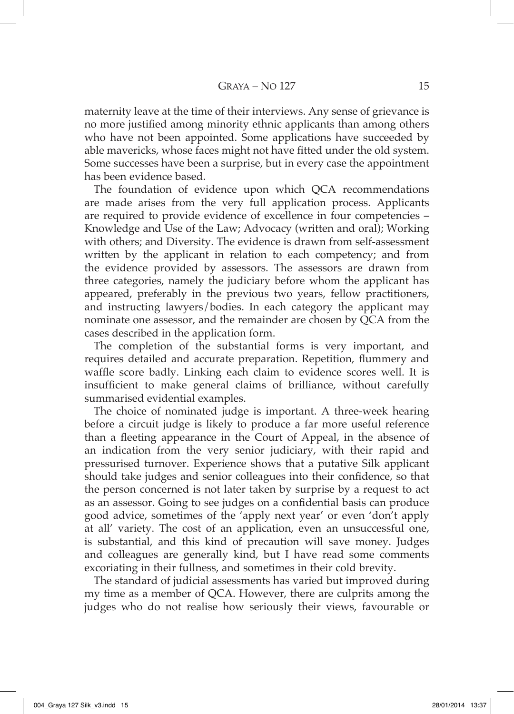maternity leave at the time of their interviews. Any sense of grievance is no more justified among minority ethnic applicants than among others who have not been appointed. Some applications have succeeded by able mavericks, whose faces might not have fitted under the old system. Some successes have been a surprise, but in every case the appointment has been evidence based.

The foundation of evidence upon which QCA recommendations are made arises from the very full application process. Applicants are required to provide evidence of excellence in four competencies – Knowledge and Use of the Law; Advocacy (written and oral); Working with others; and Diversity. The evidence is drawn from self-assessment written by the applicant in relation to each competency; and from the evidence provided by assessors. The assessors are drawn from three categories, namely the judiciary before whom the applicant has appeared, preferably in the previous two years, fellow practitioners, and instructing lawyers/bodies. In each category the applicant may nominate one assessor, and the remainder are chosen by QCA from the cases described in the application form.

The completion of the substantial forms is very important, and requires detailed and accurate preparation. Repetition, flummery and waffle score badly. Linking each claim to evidence scores well. It is insufficient to make general claims of brilliance, without carefully summarised evidential examples.

The choice of nominated judge is important. A three-week hearing before a circuit judge is likely to produce a far more useful reference than a fleeting appearance in the Court of Appeal, in the absence of an indication from the very senior judiciary, with their rapid and pressurised turnover. Experience shows that a putative Silk applicant should take judges and senior colleagues into their confidence, so that the person concerned is not later taken by surprise by a request to act as an assessor. Going to see judges on a confidential basis can produce good advice, sometimes of the 'apply next year' or even 'don't apply at all' variety. The cost of an application, even an unsuccessful one, is substantial, and this kind of precaution will save money. Judges and colleagues are generally kind, but I have read some comments excoriating in their fullness, and sometimes in their cold brevity.

The standard of judicial assessments has varied but improved during my time as a member of QCA. However, there are culprits among the judges who do not realise how seriously their views, favourable or